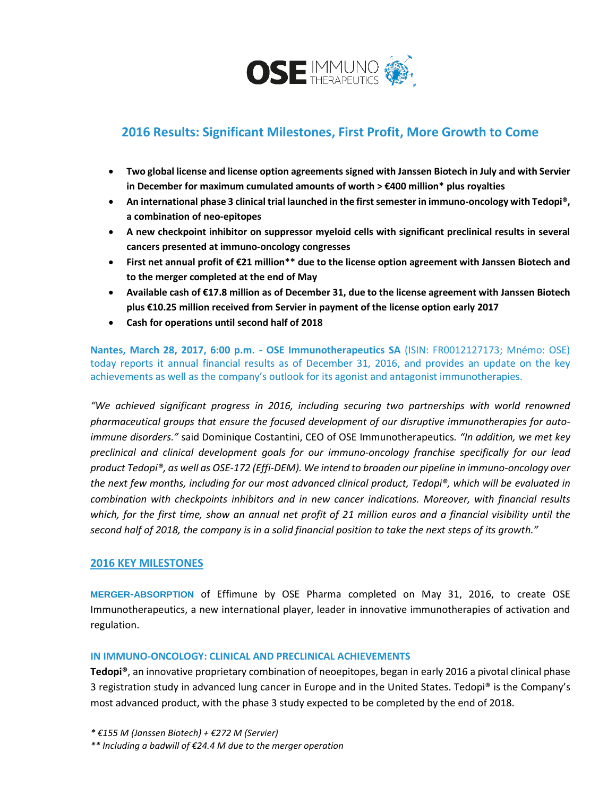

## **2016 Results: Significant Milestones, First Profit, More Growth to Come**

- **Two global license and license option agreements signed with Janssen Biotech in July and with Servier in December for maximum cumulated amounts of worth > €400 million\* plus royalties**
- **An international phase 3 clinical trial launched in the first semester in immuno-oncology with Tedopi®, a combination of neo-epitopes**
- **A new checkpoint inhibitor on suppressor myeloid cells with significant preclinical results in several cancers presented at immuno-oncology congresses**
- **First net annual profit of €21 million\*\* due to the license option agreement with Janssen Biotech and to the merger completed at the end of May**
- **Available cash of €17.8 million as of December 31, due to the license agreement with Janssen Biotech plus €10.25 million received from Servier in payment of the license option early 2017**
- **Cash for operations until second half of 2018**

**Nantes, March 28, 2017, 6:00 p.m. - OSE Immunotherapeutics SA** (ISIN: FR0012127173; Mnémo: OSE) today reports it annual financial results as of December 31, 2016, and provides an update on the key achievements as well as the company's outlook for its agonist and antagonist immunotherapies.

*"We achieved significant progress in 2016, including securing two partnerships with world renowned pharmaceutical groups that ensure the focused development of our disruptive immunotherapies for autoimmune disorders."* said Dominique Costantini, CEO of OSE Immunotherapeutics*. "In addition, we met key preclinical and clinical development goals for our immuno-oncology franchise specifically for our lead product Tedopi®, as well as OSE-172 (Effi-DEM). We intend to broaden our pipeline in immuno-oncology over the next few months, including for our most advanced clinical product, Tedopi®, which will be evaluated in combination with checkpoints inhibitors and in new cancer indications. Moreover, with financial results which, for the first time, show an annual net profit of 21 million euros and a financial visibility until the second half of 2018, the company is in a solid financial position to take the next steps of its growth."*

## **2016 KEY MILESTONES**

**MERGER-ABSORPTION** of Effimune by OSE Pharma completed on May 31, 2016, to create OSE Immunotherapeutics, a new international player, leader in innovative immunotherapies of activation and regulation.

#### **IN IMMUNO-ONCOLOGY: CLINICAL AND PRECLINICAL ACHIEVEMENTS**

**Tedopi®**, an innovative proprietary combination of neoepitopes, began in early 2016 a pivotal clinical phase 3 registration study in advanced lung cancer in Europe and in the United States. Tedopi® is the Company's most advanced product, with the phase 3 study expected to be completed by the end of 2018.

*\* €155 M (Janssen Biotech) + €272 M (Servier)*

*\*\* Including a badwill of €24.4 M due to the merger operation*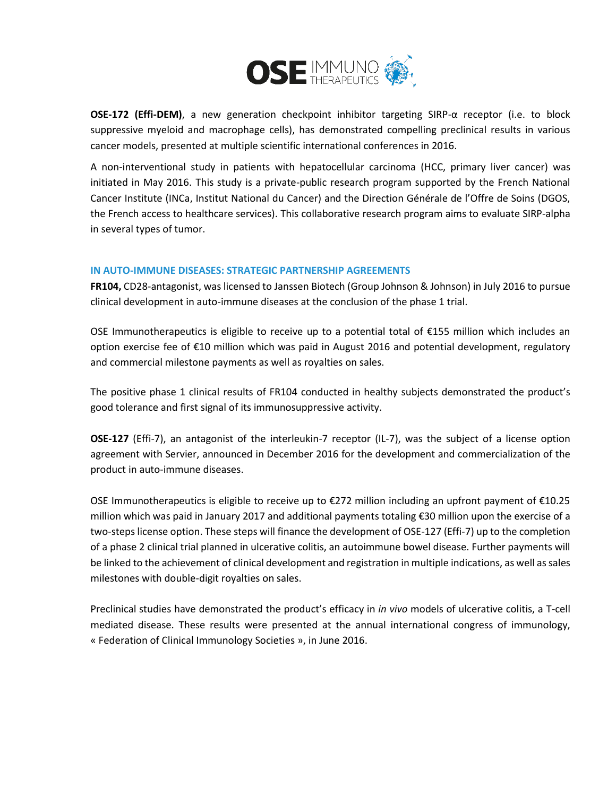

**OSE-172 (Effi-DEM)**, a new generation checkpoint inhibitor targeting SIRP-α receptor (i.e. to block suppressive myeloid and macrophage cells), has demonstrated compelling preclinical results in various cancer models, presented at multiple scientific international conferences in 2016.

A non-interventional study in patients with hepatocellular carcinoma (HCC, primary liver cancer) was initiated in May 2016. This study is a private-public research program supported by the French National Cancer Institute (INCa, Institut National du Cancer) and the Direction Générale de l'Offre de Soins (DGOS, the French access to healthcare services). This collaborative research program aims to evaluate SIRP-alpha in several types of tumor.

#### **IN AUTO-IMMUNE DISEASES: STRATEGIC PARTNERSHIP AGREEMENTS**

**FR104,** CD28-antagonist, was licensed to Janssen Biotech (Group Johnson & Johnson) in July 2016 to pursue clinical development in auto-immune diseases at the conclusion of the phase 1 trial.

OSE Immunotherapeutics is eligible to receive up to a potential total of €155 million which includes an option exercise fee of €10 million which was paid in August 2016 and potential development, regulatory and commercial milestone payments as well as royalties on sales.

The positive phase 1 clinical results of FR104 conducted in healthy subjects demonstrated the product's good tolerance and first signal of its immunosuppressive activity.

**OSE-127** (Effi-7), an antagonist of the interleukin-7 receptor (IL-7), was the subject of a license option agreement with Servier, announced in December 2016 for the development and commercialization of the product in auto-immune diseases.

OSE Immunotherapeutics is eligible to receive up to €272 million including an upfront payment of €10.25 million which was paid in January 2017 and additional payments totaling €30 million upon the exercise of a two-steps license option. These steps will finance the development of OSE-127 (Effi-7) up to the completion of a phase 2 clinical trial planned in ulcerative colitis, an autoimmune bowel disease. Further payments will be linked to the achievement of clinical development and registration in multiple indications, as well as sales milestones with double-digit royalties on sales.

Preclinical studies have demonstrated the product's efficacy in *in vivo* models of ulcerative colitis, a T-cell mediated disease. These results were presented at the annual international congress of immunology, « Federation of Clinical Immunology Societies », in June 2016.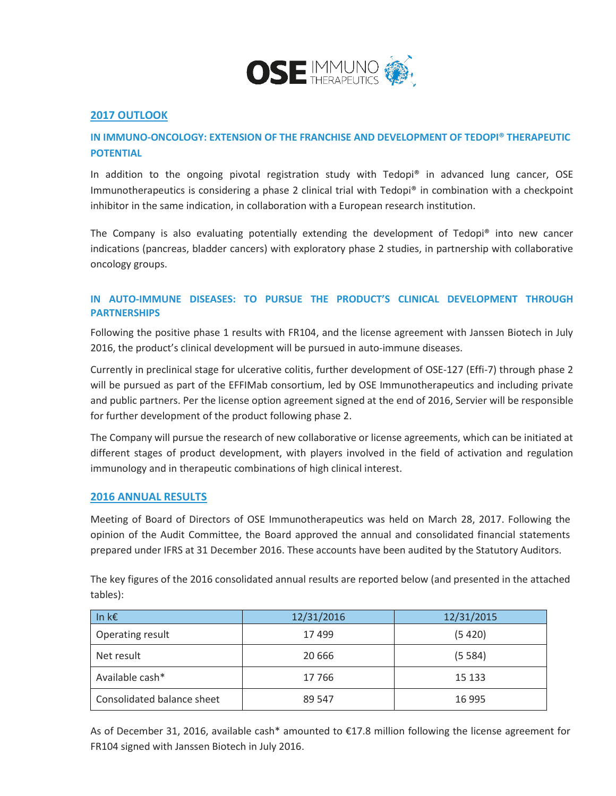

## **2017 OUTLOOK**

## **IN IMMUNO-ONCOLOGY: EXTENSION OF THE FRANCHISE AND DEVELOPMENT OF TEDOPI® THERAPEUTIC POTENTIAL**

In addition to the ongoing pivotal registration study with Tedopi<sup>®</sup> in advanced lung cancer, OSE Immunotherapeutics is considering a phase 2 clinical trial with Tedopi® in combination with a checkpoint inhibitor in the same indication, in collaboration with a European research institution.

The Company is also evaluating potentially extending the development of Tedopi® into new cancer indications (pancreas, bladder cancers) with exploratory phase 2 studies, in partnership with collaborative oncology groups.

#### **IN AUTO-IMMUNE DISEASES: TO PURSUE THE PRODUCT'S CLINICAL DEVELOPMENT THROUGH PARTNERSHIPS**

Following the positive phase 1 results with FR104, and the license agreement with Janssen Biotech in July 2016, the product's clinical development will be pursued in auto-immune diseases.

Currently in preclinical stage for ulcerative colitis, further development of OSE-127 (Effi-7) through phase 2 will be pursued as part of the EFFIMab consortium, led by OSE Immunotherapeutics and including private and public partners. Per the license option agreement signed at the end of 2016, Servier will be responsible for further development of the product following phase 2.

The Company will pursue the research of new collaborative or license agreements, which can be initiated at different stages of product development, with players involved in the field of activation and regulation immunology and in therapeutic combinations of high clinical interest.

#### **2016 ANNUAL RESULTS**

Meeting of Board of Directors of OSE Immunotherapeutics was held on March 28, 2017. Following the opinion of the Audit Committee, the Board approved the annual and consolidated financial statements prepared under IFRS at 31 December 2016. These accounts have been audited by the Statutory Auditors.

The key figures of the 2016 consolidated annual results are reported below (and presented in the attached tables):

| In $k \in$                 | 12/31/2016 | 12/31/2015 |  |
|----------------------------|------------|------------|--|
| Operating result           | 17499      | (5420)     |  |
| Net result                 | 20 6 66    | (5584)     |  |
| Available cash*            | 17 766     | 15 133     |  |
| Consolidated balance sheet | 89 547     | 16 9 95    |  |

As of December 31, 2016, available cash\* amounted to €17.8 million following the license agreement for FR104 signed with Janssen Biotech in July 2016.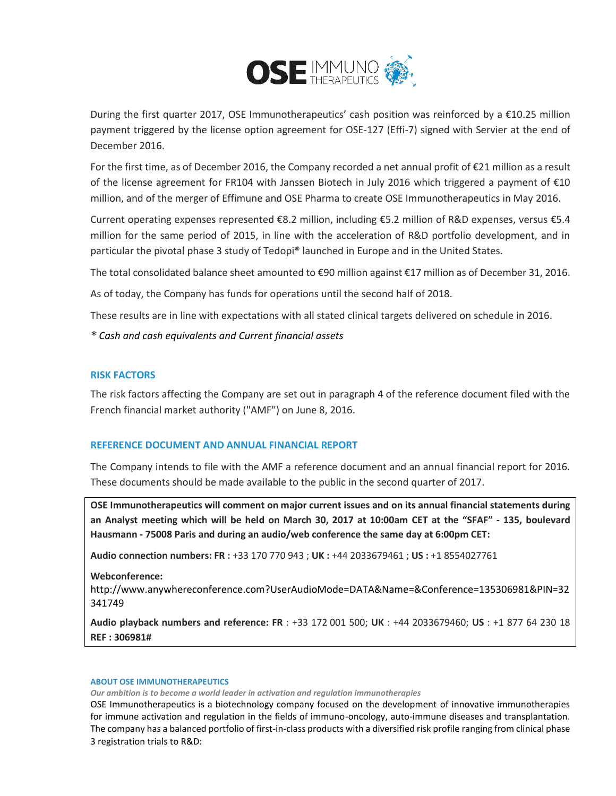

During the first quarter 2017, OSE Immunotherapeutics' cash position was reinforced by a €10.25 million payment triggered by the license option agreement for OSE-127 (Effi-7) signed with Servier at the end of December 2016.

For the first time, as of December 2016, the Company recorded a net annual profit of €21 million as a result of the license agreement for FR104 with Janssen Biotech in July 2016 which triggered a payment of €10 million, and of the merger of Effimune and OSE Pharma to create OSE Immunotherapeutics in May 2016.

Current operating expenses represented €8.2 million, including €5.2 million of R&D expenses, versus €5.4 million for the same period of 2015, in line with the acceleration of R&D portfolio development, and in particular the pivotal phase 3 study of Tedopi® launched in Europe and in the United States.

The total consolidated balance sheet amounted to €90 million against €17 million as of December 31, 2016.

As of today, the Company has funds for operations until the second half of 2018.

These results are in line with expectations with all stated clinical targets delivered on schedule in 2016.

*\* Cash and cash equivalents and Current financial assets*

#### **RISK FACTORS**

The risk factors affecting the Company are set out in paragraph 4 of the reference document filed with the French financial market authority ("AMF") on June 8, 2016.

#### **REFERENCE DOCUMENT AND ANNUAL FINANCIAL REPORT**

The Company intends to file with the AMF a reference document and an annual financial report for 2016. These documents should be made available to the public in the second quarter of 2017.

**OSE Immunotherapeutics will comment on major current issues and on its annual financial statements during an Analyst meeting which will be held on March 30, 2017 at 10:00am CET at the "SFAF" - 135, boulevard Hausmann - 75008 Paris and during an audio/web conference the same day at 6:00pm CET:**

**Audio connection numbers: FR :** +33 170 770 943 ; **UK :** [+44 2033679461](tel:+44%2020%203367%209461) ; **US :** [+1 8554027761](tel:(855)%20402-7761)

**Webconference:** 

[http://www.anywhereconference.com?UserAudioMode=DATA&Name=&Conference=135306981&PIN=32](http://www.anywhereconference.com/?UserAudioMode=DATA&Name=&Conference=135306981&PIN=32341749) [341749](http://www.anywhereconference.com/?UserAudioMode=DATA&Name=&Conference=135306981&PIN=32341749)

**Audio playback numbers and reference: FR** : [+33 172](tel:+33%201%2072%2000%2015%2000) 001 500; **UK** : [+44 2033679460;](tel:+44%2020%203367%209460) **US** : +1 877 64 230 18 **REF : 306981#**

#### **ABOUT OSE IMMUNOTHERAPEUTICS**

*Our ambition is to become a world leader in activation and regulation immunotherapies*

OSE Immunotherapeutics is a biotechnology company focused on the development of innovative immunotherapies for immune activation and regulation in the fields of immuno-oncology, auto-immune diseases and transplantation. The company has a balanced portfolio of first-in-class products with a diversified risk profile ranging from clinical phase 3 registration trials to R&D: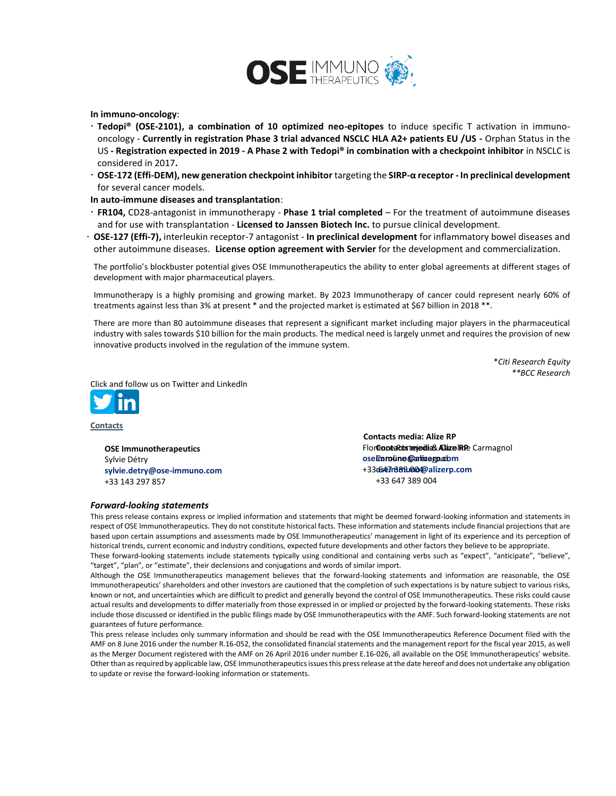

**In immuno-oncology**:

- **Tedopi® (OSE-2101), a combination of 10 optimized neo-epitopes** to induce specific T activation in immunooncology - **Currently in registration Phase 3 trial advanced NSCLC HLA A2+ patients EU /US -** Orphan Status in the US **- Registration expected in 2019 - A Phase 2 with Tedopi® in combination with a checkpoint inhibitor** in NSCLC is considered in 2017**.**
- **OSE-172 (Effi-DEM), new generation checkpoint inhibitor** targeting the **SIRP-α receptor - In preclinical development**  for several cancer models.

#### **In auto-immune diseases and transplantation**:

- **FR104,** CD28-antagonist in immunotherapy **Phase 1 trial completed** For the treatment of autoimmune diseases and for use with transplantation - **Licensed to Janssen Biotech Inc.** to pursue clinical development.
- **OSE-127 (Effi-7),** interleukin receptor-7 antagonist **In preclinical development** for inflammatory bowel diseases and other autoimmune diseases. **License option agreement with Servier** for the development and commercialization.

The portfolio's blockbuster potential gives OSE Immunotherapeutics the ability to enter global agreements at different stages of development with major pharmaceutical players.

Immunotherapy is a highly promising and growing market. By 2023 Immunotherapy of cancer could represent nearly 60% of treatments against less than 3% at present \* and the projected market is estimated at \$67 billion in 2018 \*\*.

There are more than 80 autoimmune diseases that represent a significant market including major players in the pharmaceutical industry with sales towards \$10 billion for the main products. The medical need is largely unmet and requires the provision of new innovative products involved in the regulation of the immune system.

> \**Citi Research Equity \*\*BCC Research*

Click and follow us on Twitter and Linkedln



**Contacts**

**OSE Immunotherapeutics**  Sylvie Détry **[sylvie.detry@ose-immuno.com](mailto:sylvie.detry@ose-immuno.com)** +33 143 297 857

**Contacts media: Alize RP** Flore**oneacostejedia& Alize RP**e Carmagnol oseiCaroline Carliaegnolom +33 647 389 004 **[oseimmuno@alizerp.com](mailto:oseimmuno@alizerp.com)** +33 647 389 004

#### *Forward-looking statements*

This press release contains express or implied information and statements that might be deemed forward-looking information and statements in respect of OSE Immunotherapeutics. They do not constitute historical facts. These information and statements include financial projections that are based upon certain assumptions and assessments made by OSE Immunotherapeutics' management in light of its experience and its perception of historical trends, current economic and industry conditions, expected future developments and other factors they believe to be appropriate.

These forward-looking statements include statements typically using conditional and containing verbs such as "expect", "anticipate", "believe", "target", "plan", or "estimate", their declensions and conjugations and words of similar import.

Although the OSE Immunotherapeutics management believes that the forward-looking statements and information are reasonable, the OSE Immunotherapeutics' shareholders and other investors are cautioned that the completion of such expectations is by nature subject to various risks, known or not, and uncertainties which are difficult to predict and generally beyond the control of OSE Immunotherapeutics. These risks could cause actual results and developments to differ materially from those expressed in or implied or projected by the forward-looking statements. These risks include those discussed or identified in the public filings made by OSE Immunotherapeutics with the AMF. Such forward-looking statements are not guarantees of future performance.

This press release includes only summary information and should be read with the OSE Immunotherapeutics Reference Document filed with the AMF on 8 June 2016 under the number R.16-052, the consolidated financial statements and the management report for the fiscal year 2015, as well as the Merger Document registered with the AMF on 26 April 2016 under number E.16-026, all available on the OSE Immunotherapeutics' website. Other than as required by applicable law, OSE Immunotherapeutics issues this press release at the date hereof and does not undertake any obligation to update or revise the forward-looking information or statements.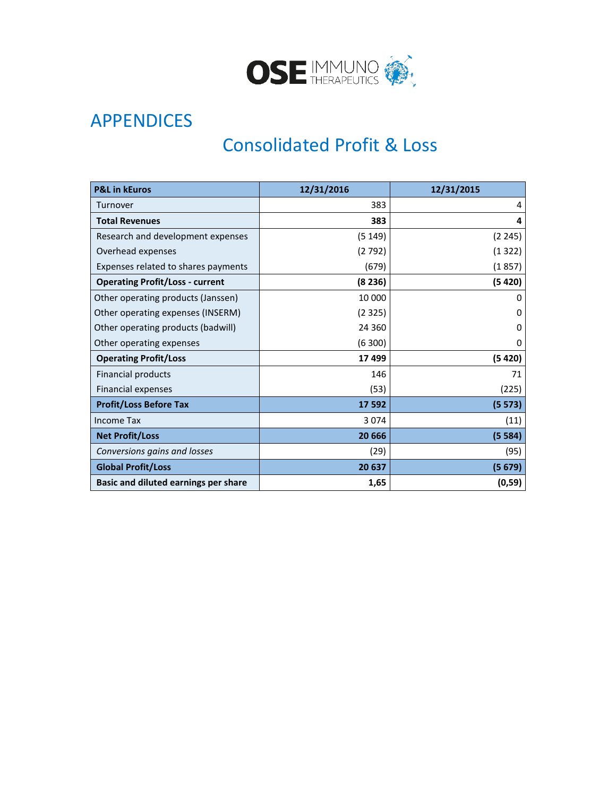

# APPENDICES

# Consolidated Profit & Loss

| <b>P&amp;L in kEuros</b>               | 12/31/2016 | 12/31/2015 |
|----------------------------------------|------------|------------|
| Turnover                               | 383        | 4          |
| <b>Total Revenues</b>                  | 383        | 4          |
| Research and development expenses      | (5149)     | (2 245)    |
| Overhead expenses                      | (2792)     | (1 3 2 2 ) |
| Expenses related to shares payments    | (679)      | (1857)     |
| <b>Operating Profit/Loss - current</b> | (8236)     | (5420)     |
| Other operating products (Janssen)     | 10 000     | 0          |
| Other operating expenses (INSERM)      | (2 325)    | 0          |
| Other operating products (badwill)     | 24 3 60    | 0          |
| Other operating expenses               | (6300)     | 0          |
| <b>Operating Profit/Loss</b>           | 17499      | (5420)     |
| <b>Financial products</b>              | 146        | 71         |
| Financial expenses                     | (53)       | (225)      |
| <b>Profit/Loss Before Tax</b>          | 17 592     | (5573)     |
| <b>Income Tax</b>                      | 3074       | (11)       |
| <b>Net Profit/Loss</b>                 | 20 666     | (5584)     |
| Conversions gains and losses           | (29)       | (95)       |
| <b>Global Profit/Loss</b>              | 20 637     | (5679)     |
| Basic and diluted earnings per share   | 1,65       | (0, 59)    |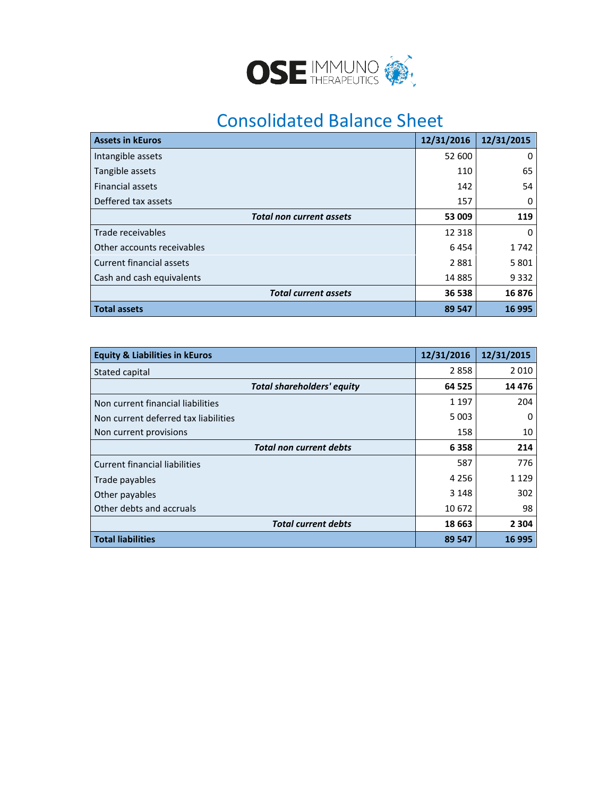

# Consolidated Balance Sheet

| <b>Assets in kEuros</b>         | 12/31/2016 | 12/31/2015 |
|---------------------------------|------------|------------|
| Intangible assets               | 52 600     | 0          |
| Tangible assets                 | 110        | 65         |
| <b>Financial assets</b>         | 142        | 54         |
| Deffered tax assets             | 157        | 0          |
| <b>Total non current assets</b> | 53 009     | 119        |
| Trade receivables               | 12 3 18    | 0          |
| Other accounts receivables      | 6454       | 1742       |
| <b>Current financial assets</b> | 2881       | 5 8 0 1    |
| Cash and cash equivalents       | 14 8 8 5   | 9 3 3 2    |
| <b>Total current assets</b>     | 36 538     | 16876      |
| <b>Total assets</b>             | 89 547     | 16 995     |

| <b>Equity &amp; Liabilities in kEuros</b> | 12/31/2016 | 12/31/2015 |
|-------------------------------------------|------------|------------|
| Stated capital                            | 2858       | 2010       |
| <b>Total shareholders' equity</b>         | 64 525     | 14 476     |
| Non current financial liabilities         | 1 1 9 7    | 204        |
| Non current deferred tax liabilities      | 5 0 0 3    | 0          |
| Non current provisions                    | 158        | 10         |
| <b>Total non current debts</b>            | 6358       | 214        |
| Current financial liabilities             | 587        | 776        |
| Trade payables                            | 4 2 5 6    | 1 1 2 9    |
| Other payables                            | 3 1 4 8    | 302        |
| Other debts and accruals                  | 10 672     | 98         |
| <b>Total current debts</b>                | 18 663     | 2 3 0 4    |
| <b>Total liabilities</b>                  | 89 547     | 16 995     |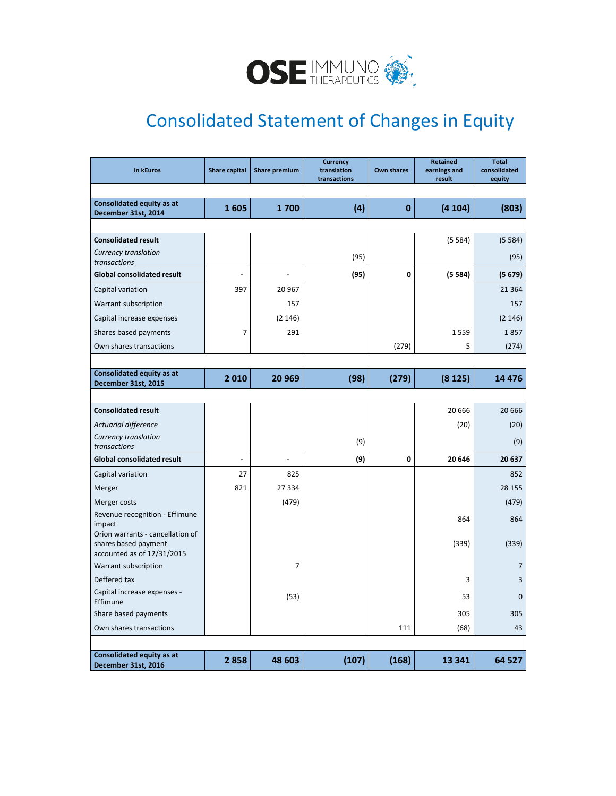

# Consolidated Statement of Changes in Equity

| <b>In kEuros</b>                                         | <b>Share capital</b> | Share premium        | <b>Currency</b><br>translation<br>transactions | <b>Own shares</b> | <b>Retained</b><br>earnings and<br>result | <b>Total</b><br>consolidated<br>equity |
|----------------------------------------------------------|----------------------|----------------------|------------------------------------------------|-------------------|-------------------------------------------|----------------------------------------|
|                                                          |                      |                      |                                                |                   |                                           |                                        |
| Consolidated equity as at<br>December 31st, 2014         | 1605                 | 1700                 | (4)                                            | $\bf{0}$          | (4104)                                    | (803)                                  |
|                                                          |                      |                      |                                                |                   |                                           |                                        |
| <b>Consolidated result</b>                               |                      |                      |                                                |                   | (5584)                                    | (5584)                                 |
| Currency translation<br>transactions                     |                      |                      | (95)                                           |                   |                                           | (95)                                   |
| <b>Global consolidated result</b>                        | $\blacksquare$       | $\overline{a}$       | (95)                                           | 0                 | (5584)                                    | (5679)                                 |
| Capital variation                                        | 397                  | 20 967               |                                                |                   |                                           | 21 3 64                                |
| Warrant subscription                                     |                      | 157                  |                                                |                   |                                           | 157                                    |
| Capital increase expenses                                |                      | (2146)               |                                                |                   |                                           | (2146)                                 |
| Shares based payments                                    | $\overline{7}$       | 291                  |                                                |                   | 1559                                      | 1857                                   |
| Own shares transactions                                  |                      |                      |                                                | (279)             | 5                                         | (274)                                  |
|                                                          |                      |                      |                                                |                   |                                           |                                        |
| <b>Consolidated equity as at</b><br>December 31st, 2015  | 2010                 | 20 969               | (98)                                           | (279)             | (8125)                                    | 14 4 76                                |
|                                                          |                      |                      |                                                |                   |                                           |                                        |
| <b>Consolidated result</b>                               |                      |                      |                                                |                   | 20 6 66                                   | 20 6 66                                |
| Actuarial difference                                     |                      |                      |                                                |                   | (20)                                      | (20)                                   |
| Currency translation                                     |                      |                      | (9)                                            |                   |                                           | (9)                                    |
| transactions<br><b>Global consolidated result</b>        | $\overline{a}$       | $\ddot{\phantom{a}}$ |                                                | 0                 | 20 646                                    | 20 637                                 |
|                                                          |                      |                      | (9)                                            |                   |                                           |                                        |
| Capital variation                                        | 27<br>821            | 825<br>27 334        |                                                |                   |                                           | 852                                    |
| Merger                                                   |                      | (479)                |                                                |                   |                                           | 28 155                                 |
| Merger costs<br>Revenue recognition - Effimune           |                      |                      |                                                |                   |                                           | (479)                                  |
| impact                                                   |                      |                      |                                                |                   | 864                                       | 864                                    |
| Orion warrants - cancellation of<br>shares based payment |                      |                      |                                                |                   | (339)                                     | (339)                                  |
| accounted as of 12/31/2015                               |                      |                      |                                                |                   |                                           |                                        |
| Warrant subscription                                     |                      | $\overline{7}$       |                                                |                   |                                           | $\overline{7}$                         |
| Deffered tax                                             |                      |                      |                                                |                   | 3                                         | 3                                      |
| Capital increase expenses -<br>Effimune                  |                      | (53)                 |                                                |                   | 53                                        | $\Omega$                               |
| Share based payments                                     |                      |                      |                                                |                   | 305                                       | 305                                    |
| Own shares transactions                                  |                      |                      |                                                | 111               | (68)                                      | 43                                     |
|                                                          |                      |                      |                                                |                   |                                           |                                        |
| <b>Consolidated equity as at</b><br>December 31st, 2016  | 2858                 | 48 603               | (107)                                          | (168)             | 13 341                                    | 64 527                                 |